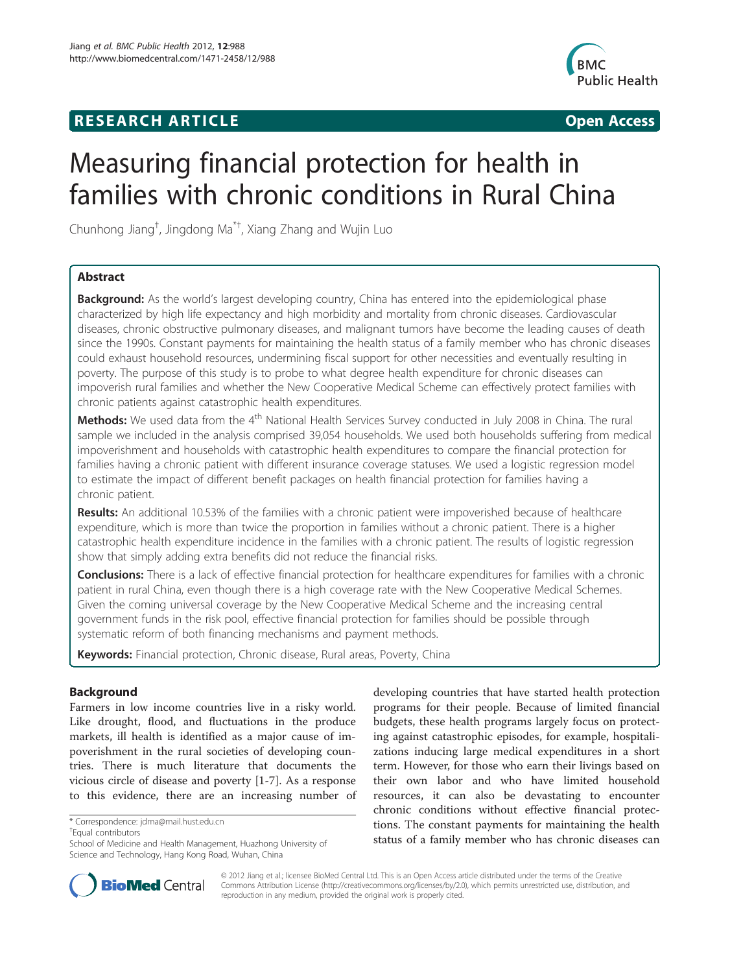# **RESEARCH ARTICLE Example 2014 12:30 The SEAR CH ACCESS**



# Measuring financial protection for health in families with chronic conditions in Rural China

Chunhong Jiang† , Jingdong Ma\*† , Xiang Zhang and Wujin Luo

# Abstract

**Background:** As the world's largest developing country, China has entered into the epidemiological phase characterized by high life expectancy and high morbidity and mortality from chronic diseases. Cardiovascular diseases, chronic obstructive pulmonary diseases, and malignant tumors have become the leading causes of death since the 1990s. Constant payments for maintaining the health status of a family member who has chronic diseases could exhaust household resources, undermining fiscal support for other necessities and eventually resulting in poverty. The purpose of this study is to probe to what degree health expenditure for chronic diseases can impoverish rural families and whether the New Cooperative Medical Scheme can effectively protect families with chronic patients against catastrophic health expenditures.

Methods: We used data from the 4<sup>th</sup> National Health Services Survey conducted in July 2008 in China. The rural sample we included in the analysis comprised 39,054 households. We used both households suffering from medical impoverishment and households with catastrophic health expenditures to compare the financial protection for families having a chronic patient with different insurance coverage statuses. We used a logistic regression model to estimate the impact of different benefit packages on health financial protection for families having a chronic patient.

Results: An additional 10.53% of the families with a chronic patient were impoverished because of healthcare expenditure, which is more than twice the proportion in families without a chronic patient. There is a higher catastrophic health expenditure incidence in the families with a chronic patient. The results of logistic regression show that simply adding extra benefits did not reduce the financial risks.

**Conclusions:** There is a lack of effective financial protection for healthcare expenditures for families with a chronic patient in rural China, even though there is a high coverage rate with the New Cooperative Medical Schemes. Given the coming universal coverage by the New Cooperative Medical Scheme and the increasing central government funds in the risk pool, effective financial protection for families should be possible through systematic reform of both financing mechanisms and payment methods.

Keywords: Financial protection, Chronic disease, Rural areas, Poverty, China

# Background

Farmers in low income countries live in a risky world. Like drought, flood, and fluctuations in the produce markets, ill health is identified as a major cause of impoverishment in the rural societies of developing countries. There is much literature that documents the vicious circle of disease and poverty [\[1](#page-6-0)-[7\]](#page-6-0). As a response to this evidence, there are an increasing number of

Equal contributors

developing countries that have started health protection programs for their people. Because of limited financial budgets, these health programs largely focus on protecting against catastrophic episodes, for example, hospitalizations inducing large medical expenditures in a short term. However, for those who earn their livings based on their own labor and who have limited household resources, it can also be devastating to encounter chronic conditions without effective financial protections. The constant payments for maintaining the health status of a family member who has chronic diseases can



© 2012 Jiang et al.; licensee BioMed Central Ltd. This is an Open Access article distributed under the terms of the Creative Commons Attribution License [\(http://creativecommons.org/licenses/by/2.0\)](http://creativecommons.org/licenses/by/2.0), which permits unrestricted use, distribution, and reproduction in any medium, provided the original work is properly cited.

<sup>\*</sup> Correspondence: [jdma@mail.hust.edu.cn](mailto:jdma@mail.hust.edu.cn) †

School of Medicine and Health Management, Huazhong University of Science and Technology, Hang Kong Road, Wuhan, China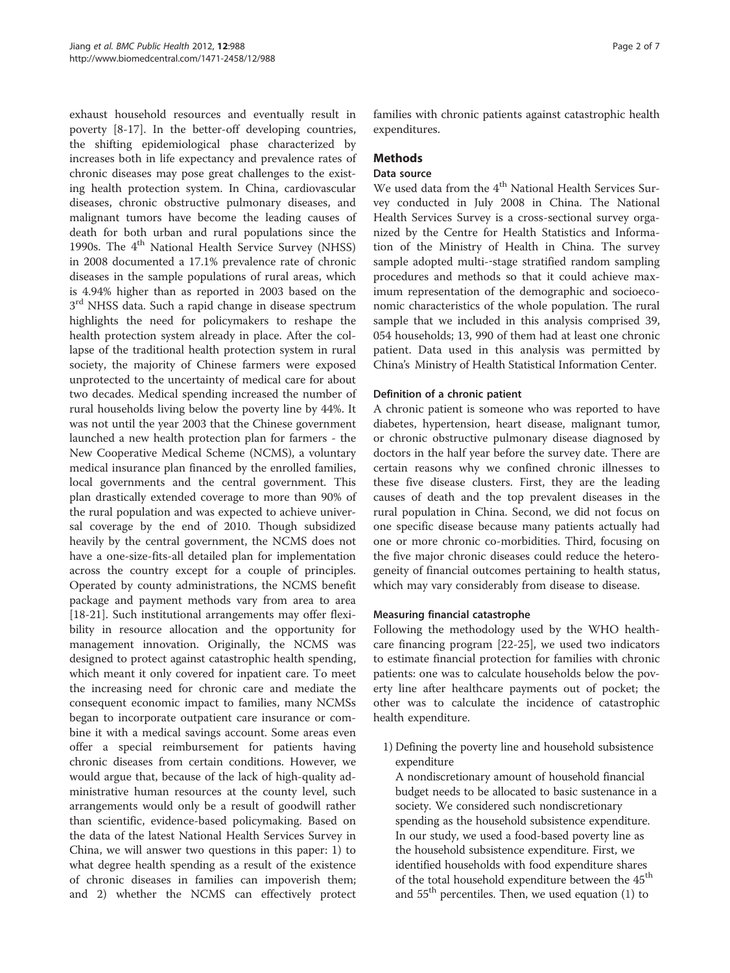exhaust household resources and eventually result in poverty [[8-17](#page-6-0)]. In the better-off developing countries, the shifting epidemiological phase characterized by increases both in life expectancy and prevalence rates of chronic diseases may pose great challenges to the existing health protection system. In China, cardiovascular diseases, chronic obstructive pulmonary diseases, and malignant tumors have become the leading causes of death for both urban and rural populations since the 1990s. The 4<sup>th</sup> National Health Service Survey (NHSS) in 2008 documented a 17.1% prevalence rate of chronic diseases in the sample populations of rural areas, which is 4.94% higher than as reported in 2003 based on the 3<sup>rd</sup> NHSS data. Such a rapid change in disease spectrum highlights the need for policymakers to reshape the health protection system already in place. After the collapse of the traditional health protection system in rural society, the majority of Chinese farmers were exposed unprotected to the uncertainty of medical care for about two decades. Medical spending increased the number of rural households living below the poverty line by 44%. It was not until the year 2003 that the Chinese government launched a new health protection plan for farmers - the New Cooperative Medical Scheme (NCMS), a voluntary medical insurance plan financed by the enrolled families, local governments and the central government. This plan drastically extended coverage to more than 90% of the rural population and was expected to achieve universal coverage by the end of 2010. Though subsidized heavily by the central government, the NCMS does not have a one-size-fits-all detailed plan for implementation across the country except for a couple of principles. Operated by county administrations, the NCMS benefit package and payment methods vary from area to area [[18-21](#page-6-0)]. Such institutional arrangements may offer flexibility in resource allocation and the opportunity for management innovation. Originally, the NCMS was designed to protect against catastrophic health spending, which meant it only covered for inpatient care. To meet the increasing need for chronic care and mediate the consequent economic impact to families, many NCMSs began to incorporate outpatient care insurance or combine it with a medical savings account. Some areas even offer a special reimbursement for patients having chronic diseases from certain conditions. However, we would argue that, because of the lack of high-quality administrative human resources at the county level, such arrangements would only be a result of goodwill rather than scientific, evidence-based policymaking. Based on the data of the latest National Health Services Survey in China, we will answer two questions in this paper: 1) to what degree health spending as a result of the existence of chronic diseases in families can impoverish them; and 2) whether the NCMS can effectively protect

families with chronic patients against catastrophic health expenditures.

## **Methods**

#### Data source

We used data from the 4<sup>th</sup> National Health Services Survey conducted in July 2008 in China. The National Health Services Survey is a cross-sectional survey organized by the Centre for Health Statistics and Information of the Ministry of Health in China. The survey sample adopted multi--stage stratified random sampling procedures and methods so that it could achieve maximum representation of the demographic and socioeconomic characteristics of the whole population. The rural sample that we included in this analysis comprised 39, 054 households; 13, 990 of them had at least one chronic patient. Data used in this analysis was permitted by China's Ministry of Health Statistical Information Center.

#### Definition of a chronic patient

A chronic patient is someone who was reported to have diabetes, hypertension, heart disease, malignant tumor, or chronic obstructive pulmonary disease diagnosed by doctors in the half year before the survey date. There are certain reasons why we confined chronic illnesses to these five disease clusters. First, they are the leading causes of death and the top prevalent diseases in the rural population in China. Second, we did not focus on one specific disease because many patients actually had one or more chronic co-morbidities. Third, focusing on the five major chronic diseases could reduce the heterogeneity of financial outcomes pertaining to health status, which may vary considerably from disease to disease.

#### Measuring financial catastrophe

Following the methodology used by the WHO healthcare financing program [\[22-25](#page-6-0)], we used two indicators to estimate financial protection for families with chronic patients: one was to calculate households below the poverty line after healthcare payments out of pocket; the other was to calculate the incidence of catastrophic health expenditure.

1) Defining the poverty line and household subsistence expenditure

A nondiscretionary amount of household financial budget needs to be allocated to basic sustenance in a society. We considered such nondiscretionary spending as the household subsistence expenditure. In our study, we used a food-based poverty line as the household subsistence expenditure. First, we identified households with food expenditure shares of the total household expenditure between the 45<sup>th</sup> and  $55<sup>th</sup>$  percentiles. Then, we used equation [\(1\)](#page-2-0) to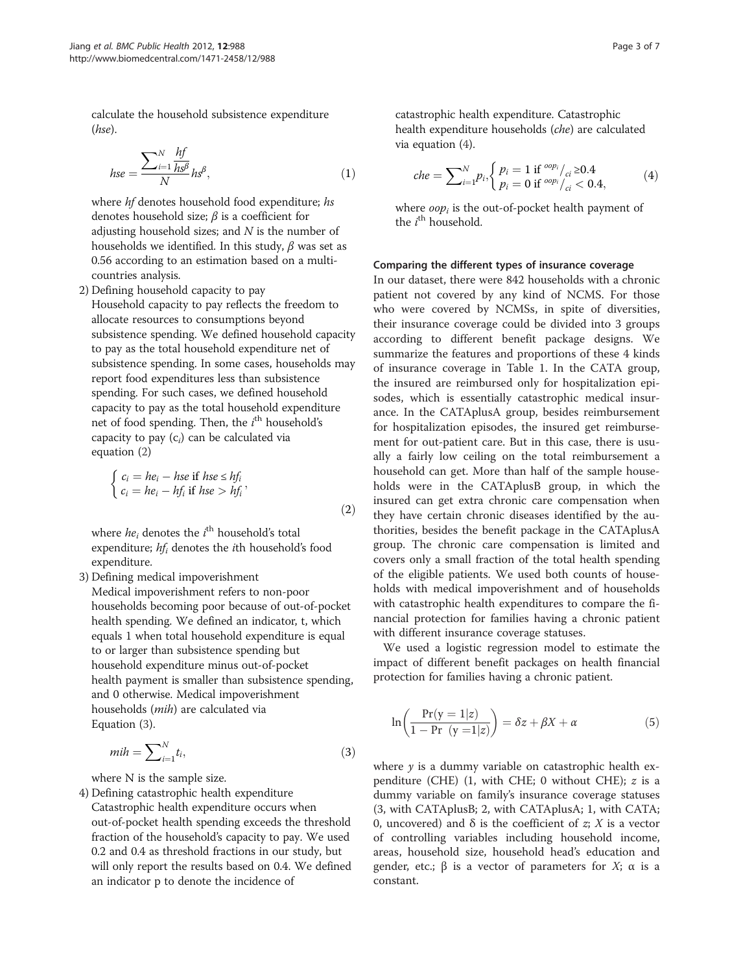$\lambda$ 

<span id="page-2-0"></span>calculate the household subsistence expenditure (hse).

$$
hse = \frac{\sum_{i=1}^{N} \frac{hf}{h s^{\beta}}}{N} h s^{\beta},
$$
\n(1)

where *hf* denotes household food expenditure; hs denotes household size;  $\beta$  is a coefficient for adjusting household sizes; and  $N$  is the number of households we identified. In this study,  $\beta$  was set as 0.56 according to an estimation based on a multicountries analysis.

2) Defining household capacity to pay Household capacity to pay reflects the freedom to allocate resources to consumptions beyond subsistence spending. We defined household capacity to pay as the total household expenditure net of subsistence spending. In some cases, households may report food expenditures less than subsistence spending. For such cases, we defined household capacity to pay as the total household expenditure net of food spending. Then, the  $i^{\text{th}}$  household's capacity to pay  $(c_i)$  can be calculated via equation (2)

$$
\begin{cases}\nc_i = he_i - hse \text{ if } hse \le hf_i, \\
c_i = he_i - hf_i \text{ if } hse > hf_i,\n\end{cases}
$$
\n(2)

where  $he_i$  denotes the  $i^{\text{th}}$  household's total expenditure;  $hf_i$  denotes the *i*th household's food expenditure.

3) Defining medical impoverishment Medical impoverishment refers to non-poor households becoming poor because of out-of-pocket health spending. We defined an indicator, t, which equals 1 when total household expenditure is equal to or larger than subsistence spending but household expenditure minus out-of-pocket health payment is smaller than subsistence spending, and 0 otherwise. Medical impoverishment households (mih) are calculated via Equation (3).

$$
mih = \sum_{i=1}^{N} t_i,
$$
\n(3)

where N is the sample size.

4) Defining catastrophic health expenditure Catastrophic health expenditure occurs when out-of-pocket health spending exceeds the threshold fraction of the household's capacity to pay. We used 0.2 and 0.4 as threshold fractions in our study, but will only report the results based on 0.4. We defined an indicator p to denote the incidence of

catastrophic health expenditure. Catastrophic health expenditure households (che) are calculated via equation (4).

$$
che = \sum_{i=1}^{N} p_i, \begin{cases} p_i = 1 \text{ if } {}^{oop_i}/{}_{ci} \geq 0.4 \\ p_i = 0 \text{ if } {}^{oop_i}/{}_{ci} < 0.4, \end{cases} \tag{4}
$$

where  $oop<sub>i</sub>$  is the out-of-pocket health payment of the  $i^{\text{th}}$  household.

#### Comparing the different types of insurance coverage

In our dataset, there were 842 households with a chronic patient not covered by any kind of NCMS. For those who were covered by NCMSs, in spite of diversities, their insurance coverage could be divided into 3 groups according to different benefit package designs. We summarize the features and proportions of these 4 kinds of insurance coverage in Table [1.](#page-3-0) In the CATA group, the insured are reimbursed only for hospitalization episodes, which is essentially catastrophic medical insurance. In the CATAplusA group, besides reimbursement for hospitalization episodes, the insured get reimbursement for out-patient care. But in this case, there is usually a fairly low ceiling on the total reimbursement a household can get. More than half of the sample households were in the CATAplusB group, in which the insured can get extra chronic care compensation when they have certain chronic diseases identified by the authorities, besides the benefit package in the CATAplusA group. The chronic care compensation is limited and covers only a small fraction of the total health spending of the eligible patients. We used both counts of households with medical impoverishment and of households with catastrophic health expenditures to compare the financial protection for families having a chronic patient with different insurance coverage statuses.

We used a logistic regression model to estimate the impact of different benefit packages on health financial protection for families having a chronic patient.

$$
\ln\left(\frac{\Pr(y=1|z)}{1-\Pr(y=1|z)}\right) = \delta z + \beta X + \alpha \tag{5}
$$

where  $y$  is a dummy variable on catastrophic health expenditure (CHE)  $(1, \text{ with } \text{CHE}; 0 \text{ without } \text{CHE}; z \text{ is a})$ dummy variable on family's insurance coverage statuses (3, with CATAplusB; 2, with CATAplusA; 1, with CATA; 0, uncovered) and δ is the coefficient of *z*; *X* is a vector of controlling variables including household income, areas, household size, household head's education and gender, etc.;  $\beta$  is a vector of parameters for X; α is a constant.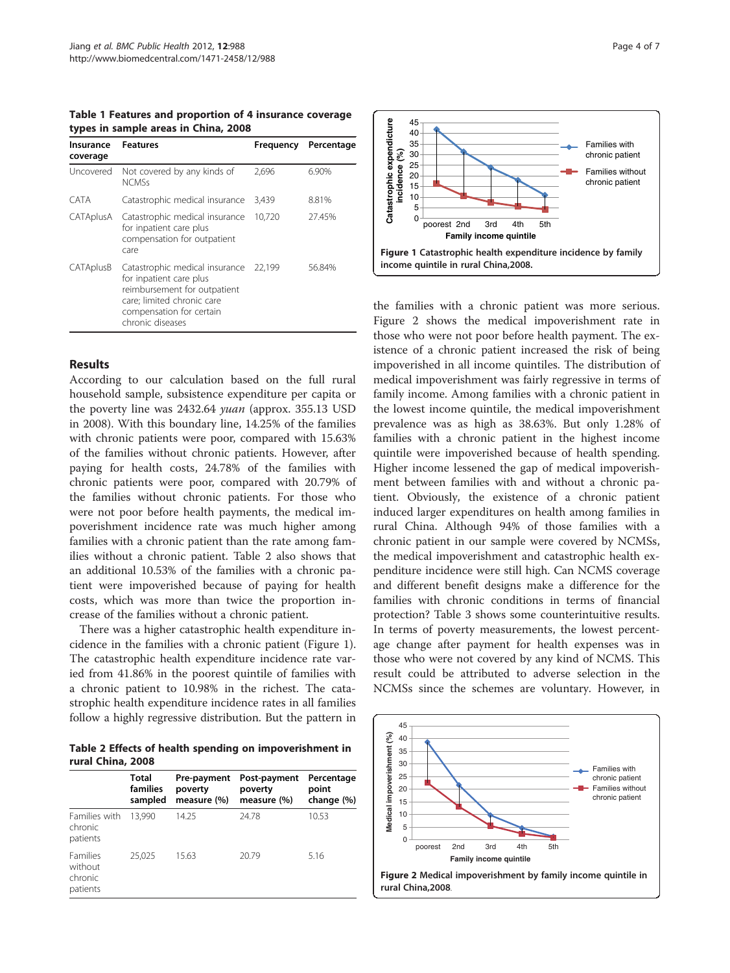<span id="page-3-0"></span>Table 1 Features and proportion of 4 insurance coverage types in sample areas in China, 2008

| Insurance<br>coverage | <b>Features</b>                                                                                                                                                         | Frequency | Percentage |
|-----------------------|-------------------------------------------------------------------------------------------------------------------------------------------------------------------------|-----------|------------|
| Uncovered             | Not covered by any kinds of<br><b>NCMSs</b>                                                                                                                             | 2.696     | 6.90%      |
| CATA                  | Catastrophic medical insurance                                                                                                                                          | 3,439     | 8.81%      |
| CATAplusA             | Catastrophic medical insurance<br>for inpatient care plus<br>compensation for outpatient<br>care                                                                        | 10,720    | 27.45%     |
| CATAplusB             | Catastrophic medical insurance<br>for inpatient care plus<br>reimbursement for outpatient<br>care; limited chronic care<br>compensation for certain<br>chronic diseases | 22.199    | 56.84%     |

# Results

According to our calculation based on the full rural household sample, subsistence expenditure per capita or the poverty line was 2432.64 yuan (approx. 355.13 USD in 2008). With this boundary line, 14.25% of the families with chronic patients were poor, compared with 15.63% of the families without chronic patients. However, after paying for health costs, 24.78% of the families with chronic patients were poor, compared with 20.79% of the families without chronic patients. For those who were not poor before health payments, the medical impoverishment incidence rate was much higher among families with a chronic patient than the rate among families without a chronic patient. Table 2 also shows that an additional 10.53% of the families with a chronic patient were impoverished because of paying for health costs, which was more than twice the proportion increase of the families without a chronic patient.

There was a higher catastrophic health expenditure incidence in the families with a chronic patient (Figure 1). The catastrophic health expenditure incidence rate varied from 41.86% in the poorest quintile of families with a chronic patient to 10.98% in the richest. The catastrophic health expenditure incidence rates in all families follow a highly regressive distribution. But the pattern in

Table 2 Effects of health spending on impoverishment in rural China, 2008

|                                                   | Total<br>families<br>sampled | Pre-payment<br>poverty<br>measure (%) | Post-payment<br>poverty<br>measure (%) | Percentage<br>point<br>change (%) |
|---------------------------------------------------|------------------------------|---------------------------------------|----------------------------------------|-----------------------------------|
| Families with<br>chronic<br>patients              | 13.990                       | 14.25                                 | 24.78                                  | 10.53                             |
| <b>Families</b><br>without<br>chronic<br>patients | 25.025                       | 15.63                                 | 20.79                                  | 5.16                              |



the families with a chronic patient was more serious. Figure 2 shows the medical impoverishment rate in those who were not poor before health payment. The existence of a chronic patient increased the risk of being impoverished in all income quintiles. The distribution of medical impoverishment was fairly regressive in terms of family income. Among families with a chronic patient in the lowest income quintile, the medical impoverishment prevalence was as high as 38.63%. But only 1.28% of families with a chronic patient in the highest income quintile were impoverished because of health spending. Higher income lessened the gap of medical impoverishment between families with and without a chronic patient. Obviously, the existence of a chronic patient induced larger expenditures on health among families in rural China. Although 94% of those families with a chronic patient in our sample were covered by NCMSs, the medical impoverishment and catastrophic health expenditure incidence were still high. Can NCMS coverage and different benefit designs make a difference for the families with chronic conditions in terms of financial protection? Table [3](#page-4-0) shows some counterintuitive results. In terms of poverty measurements, the lowest percentage change after payment for health expenses was in those who were not covered by any kind of NCMS. This result could be attributed to adverse selection in the NCMSs since the schemes are voluntary. However, in

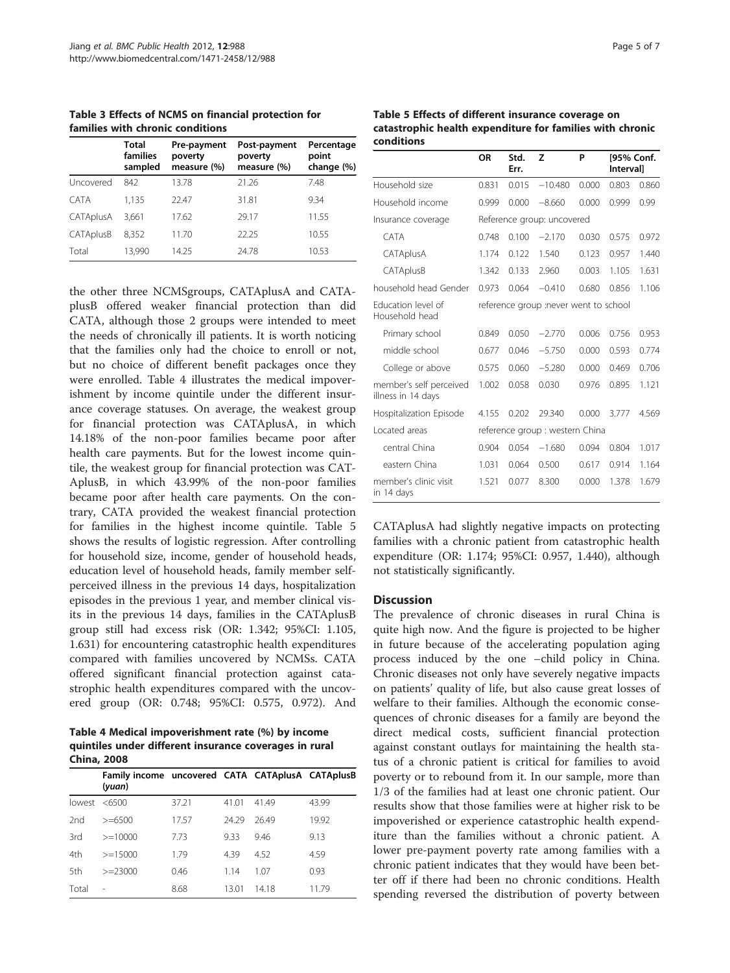<span id="page-4-0"></span>Table 3 Effects of NCMS on financial protection for families with chronic conditions

|             | Total<br>families<br>sampled | Pre-payment<br>poverty<br>measure (%) | Post-payment<br>poverty<br>measure (%) | Percentage<br>point<br>change (%) |
|-------------|------------------------------|---------------------------------------|----------------------------------------|-----------------------------------|
| Uncovered   | 842                          | 13.78                                 | 21.26                                  | 7.48                              |
| <b>CATA</b> | 1.135                        | 22.47                                 | 31.81                                  | 9.34                              |
| CATAplusA   | 3.661                        | 17.62                                 | 29.17                                  | 11.55                             |
| CATAplusB   | 8.352                        | 11.70                                 | 22.25                                  | 10.55                             |
| Total       | 13,990                       | 14.25                                 | 24.78                                  | 10.53                             |

the other three NCMSgroups, CATAplusA and CATAplusB offered weaker financial protection than did CATA, although those 2 groups were intended to meet the needs of chronically ill patients. It is worth noticing that the families only had the choice to enroll or not, but no choice of different benefit packages once they were enrolled. Table 4 illustrates the medical impoverishment by income quintile under the different insurance coverage statuses. On average, the weakest group for financial protection was CATAplusA, in which 14.18% of the non-poor families became poor after health care payments. But for the lowest income quintile, the weakest group for financial protection was CAT-AplusB, in which 43.99% of the non-poor families became poor after health care payments. On the contrary, CATA provided the weakest financial protection for families in the highest income quintile. Table 5 shows the results of logistic regression. After controlling for household size, income, gender of household heads, education level of household heads, family member selfperceived illness in the previous 14 days, hospitalization episodes in the previous 1 year, and member clinical visits in the previous 14 days, families in the CATAplusB group still had excess risk (OR: 1.342; 95%CI: 1.105, 1.631) for encountering catastrophic health expenditures compared with families uncovered by NCMSs. CATA offered significant financial protection against catastrophic health expenditures compared with the uncovered group (OR: 0.748; 95%CI: 0.575, 0.972). And

Table 4 Medical impoverishment rate (%) by income quintiles under different insurance coverages in rural China, 2008

|        | Family income uncovered CATA CATAplusA CATAplusB<br>(yuan) |       |       |       |       |
|--------|------------------------------------------------------------|-------|-------|-------|-------|
| lowest | <6500                                                      | 37.21 | 41.01 | 4149  | 43.99 |
| 2nd    | $>= 6500$                                                  | 17.57 | 2429  | 26.49 | 19.92 |
| 3rd    | $>=10000$                                                  | 773   | 9.33  | 946   | 9.13  |
| 4th    | $>=15000$                                                  | 179   | 439   | 4.52  | 4.59  |
| 5th    | $>=23000$                                                  | 0.46  | 114   | 1.07  | 0.93  |
| Total  | ۰                                                          | 8.68  | 13.01 | 1418  | 11.79 |

Table 5 Effects of different insurance coverage on catastrophic health expenditure for families with chronic conditions

|                                               | OR                                    | Std.<br>Err. | z         | P     | [95% Conf.<br><b>Intervall</b> |       |  |
|-----------------------------------------------|---------------------------------------|--------------|-----------|-------|--------------------------------|-------|--|
| Household size                                | 0.831                                 | 0.015        | $-10.480$ | 0.000 | 0.803                          | 0.860 |  |
| Household income                              | 0.999                                 | 0.000        | $-8.660$  | 0.000 | 0.999                          | 0.99  |  |
| Insurance coverage                            | Reference group: uncovered            |              |           |       |                                |       |  |
| CATA                                          | 0.748                                 | 0.100        | $-2.170$  | 0.030 | 0.575                          | 0.972 |  |
| CATAplusA                                     | 1.174                                 | 0.122        | 1.540     | 0.123 | 0.957                          | 1.440 |  |
| CATAplusB                                     | 1.342                                 | 0.133        | 2.960     | 0.003 | 1.105                          | 1.631 |  |
| household head Gender                         | 0.973                                 | 0.064        | $-0.410$  | 0.680 | 0.856                          | 1.106 |  |
| <b>Education level of</b><br>Household head   | reference group :never went to school |              |           |       |                                |       |  |
| Primary school                                | 0.849                                 | 0.050        | $-2.770$  | 0.006 | 0.756                          | 0.953 |  |
| middle school                                 | 0.677                                 | 0.046        | $-5.750$  | 0.000 | 0.593                          | 0.774 |  |
| College or above                              | 0.575                                 | 0.060        | $-5.280$  | 0.000 | 0.469                          | 0.706 |  |
| member's self perceived<br>illness in 14 days | 1.002                                 | 0.058        | 0.030     | 0.976 | 0.895                          | 1.121 |  |
| Hospitalization Episode                       | 4.155                                 | 0.202        | 29.340    | 0.000 | 3.777                          | 4.569 |  |
| Located areas                                 | reference group : western China       |              |           |       |                                |       |  |
| central China                                 | 0.904                                 | 0.054        | $-1.680$  | 0.094 | 0.804                          | 1.017 |  |
| eastern China                                 | 1.031                                 | 0.064        | 0.500     | 0.617 | 0.914                          | 1.164 |  |
| member's clinic visit<br>in 14 days           | 1.521                                 | 0.077        | 8.300     | 0.000 | 1.378                          | 1.679 |  |

CATAplusA had slightly negative impacts on protecting families with a chronic patient from catastrophic health expenditure (OR: 1.174; 95%CI: 0.957, 1.440), although not statistically significantly.

#### **Discussion**

The prevalence of chronic diseases in rural China is quite high now. And the figure is projected to be higher in future because of the accelerating population aging process induced by the one –child policy in China. Chronic diseases not only have severely negative impacts on patients' quality of life, but also cause great losses of welfare to their families. Although the economic consequences of chronic diseases for a family are beyond the direct medical costs, sufficient financial protection against constant outlays for maintaining the health status of a chronic patient is critical for families to avoid poverty or to rebound from it. In our sample, more than 1/3 of the families had at least one chronic patient. Our results show that those families were at higher risk to be impoverished or experience catastrophic health expenditure than the families without a chronic patient. A lower pre-payment poverty rate among families with a chronic patient indicates that they would have been better off if there had been no chronic conditions. Health spending reversed the distribution of poverty between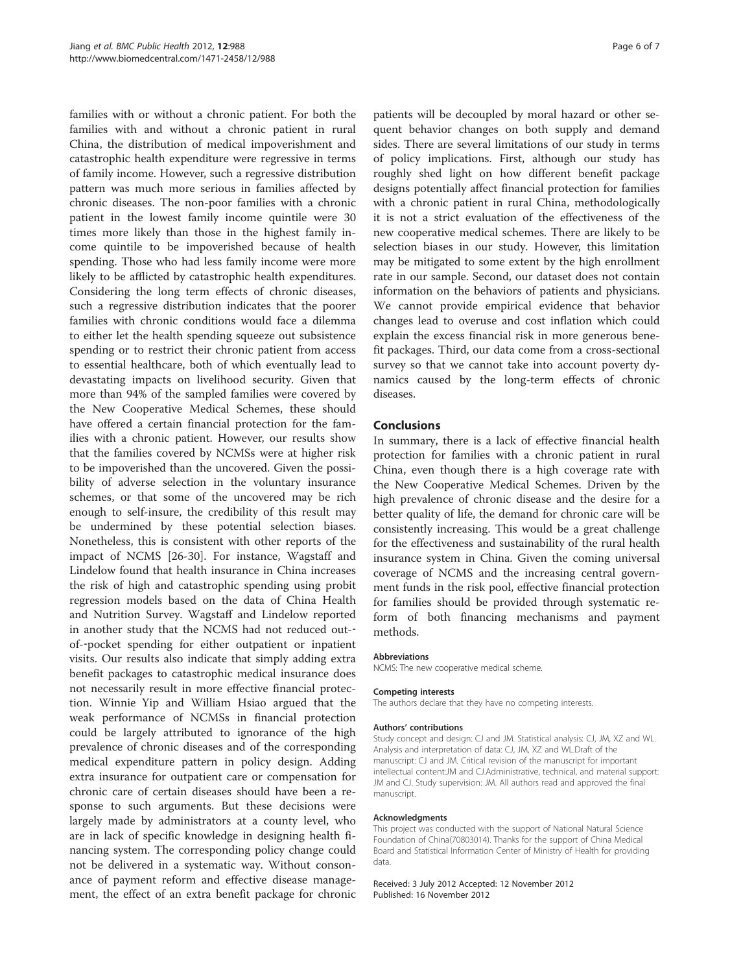families with or without a chronic patient. For both the families with and without a chronic patient in rural China, the distribution of medical impoverishment and catastrophic health expenditure were regressive in terms of family income. However, such a regressive distribution pattern was much more serious in families affected by chronic diseases. The non-poor families with a chronic patient in the lowest family income quintile were 30 times more likely than those in the highest family income quintile to be impoverished because of health spending. Those who had less family income were more likely to be afflicted by catastrophic health expenditures. Considering the long term effects of chronic diseases, such a regressive distribution indicates that the poorer families with chronic conditions would face a dilemma to either let the health spending squeeze out subsistence spending or to restrict their chronic patient from access to essential healthcare, both of which eventually lead to devastating impacts on livelihood security. Given that more than 94% of the sampled families were covered by the New Cooperative Medical Schemes, these should have offered a certain financial protection for the families with a chronic patient. However, our results show that the families covered by NCMSs were at higher risk to be impoverished than the uncovered. Given the possibility of adverse selection in the voluntary insurance schemes, or that some of the uncovered may be rich enough to self-insure, the credibility of this result may be undermined by these potential selection biases. Nonetheless, this is consistent with other reports of the impact of NCMS [\[26-30](#page-6-0)]. For instance, Wagstaff and Lindelow found that health insurance in China increases the risk of high and catastrophic spending using probit regression models based on the data of China Health and Nutrition Survey. Wagstaff and Lindelow reported in another study that the NCMS had not reduced out-‐ of-‐pocket spending for either outpatient or inpatient visits. Our results also indicate that simply adding extra benefit packages to catastrophic medical insurance does not necessarily result in more effective financial protection. Winnie Yip and William Hsiao argued that the weak performance of NCMSs in financial protection could be largely attributed to ignorance of the high prevalence of chronic diseases and of the corresponding medical expenditure pattern in policy design. Adding extra insurance for outpatient care or compensation for chronic care of certain diseases should have been a response to such arguments. But these decisions were largely made by administrators at a county level, who are in lack of specific knowledge in designing health financing system. The corresponding policy change could not be delivered in a systematic way. Without consonance of payment reform and effective disease management, the effect of an extra benefit package for chronic

patients will be decoupled by moral hazard or other sequent behavior changes on both supply and demand sides. There are several limitations of our study in terms of policy implications. First, although our study has roughly shed light on how different benefit package designs potentially affect financial protection for families with a chronic patient in rural China, methodologically it is not a strict evaluation of the effectiveness of the new cooperative medical schemes. There are likely to be selection biases in our study. However, this limitation may be mitigated to some extent by the high enrollment rate in our sample. Second, our dataset does not contain information on the behaviors of patients and physicians. We cannot provide empirical evidence that behavior changes lead to overuse and cost inflation which could explain the excess financial risk in more generous benefit packages. Third, our data come from a cross-sectional survey so that we cannot take into account poverty dynamics caused by the long-term effects of chronic diseases.

#### Conclusions

In summary, there is a lack of effective financial health protection for families with a chronic patient in rural China, even though there is a high coverage rate with the New Cooperative Medical Schemes. Driven by the high prevalence of chronic disease and the desire for a better quality of life, the demand for chronic care will be consistently increasing. This would be a great challenge for the effectiveness and sustainability of the rural health insurance system in China. Given the coming universal coverage of NCMS and the increasing central government funds in the risk pool, effective financial protection for families should be provided through systematic reform of both financing mechanisms and payment methods.

#### **Abbreviations**

NCMS: The new cooperative medical scheme.

#### Competing interests

The authors declare that they have no competing interests.

#### Authors' contributions

Study concept and design: CJ and JM. Statistical analysis: CJ, JM, XZ and WL. Analysis and interpretation of data: CJ, JM, XZ and WL.Draft of the manuscript: CJ and JM. Critical revision of the manuscript for important intellectual content:JM and CJ.Administrative, technical, and material support: JM and CJ. Study supervision: JM. All authors read and approved the final manuscript.

#### Acknowledgments

This project was conducted with the support of National Natural Science Foundation of China(70803014). Thanks for the support of China Medical Board and Statistical Information Center of Ministry of Health for providing data.

Received: 3 July 2012 Accepted: 12 November 2012 Published: 16 November 2012